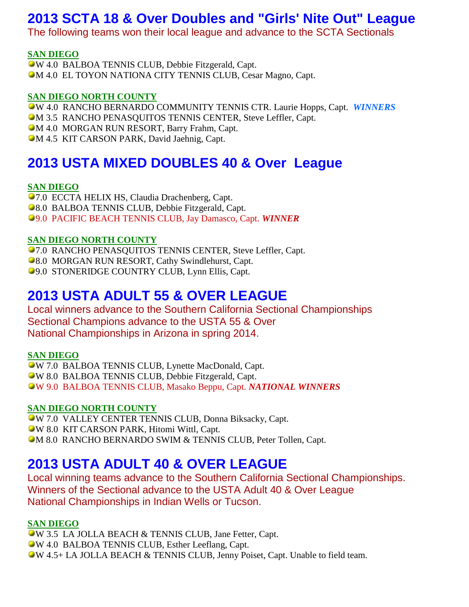# **2013 SCTA 18 & Over Doubles and "Girls' Nite Out" League**

The following teams won their local league and advance to the SCTA Sectionals

## **SAN DIEGO**

W 4.0 BALBOA TENNIS CLUB, Debbie Fitzgerald, Capt. M 4.0 EL TOYON NATIONA CITY TENNIS CLUB, Cesar Magno, Capt.

### **SAN DIEGO NORTH COUNTY**

W 4.0 RANCHO BERNARDO COMMUNITY TENNIS CTR. Laurie Hopps, Capt. *WINNERS* **M 3.5 RANCHO PENASQUITOS TENNIS CENTER, Steve Leffler, Capt.** 

**M 4.0 MORGAN RUN RESORT, Barry Frahm, Capt.** 

**M 4.5 KIT CARSON PARK, David Jaehnig, Capt.** 

# **2013 USTA MIXED DOUBLES 40 & Over League**

### **SAN DIEGO**

7.0 ECCTA HELIX HS, Claudia Drachenberg, Capt. **98.0 BALBOA TENNIS CLUB, Debbie Fitzgerald, Capt.** 9.0 PACIFIC BEACH TENNIS CLUB, Jay Damasco, Capt. *WINNER*

### **SAN DIEGO NORTH COUNTY**

**•7.0 RANCHO PENASQUITOS TENNIS CENTER, Steve Leffler, Capt.** 

**98.0 MORGAN RUN RESORT, Cathy Swindlehurst, Capt.** 

9.0 STONERIDGE COUNTRY CLUB, Lynn Ellis, Capt.

## **2013 USTA ADULT 55 & OVER LEAGUE**

Local winners advance to the Southern California Sectional Championships Sectional Champions advance to the USTA 55 & Over National Championships in Arizona in spring 2014.

#### **SAN DIEGO**

W 7.0 BALBOA TENNIS CLUB, Lynette MacDonald, Capt. W 8.0 BALBOA TENNIS CLUB, Debbie Fitzgerald, Capt. W 9.0 BALBOA TENNIS CLUB, Masako Beppu, Capt. *NATIONAL WINNERS*

## **SAN DIEGO NORTH COUNTY**

W 7.0 VALLEY CENTER TENNIS CLUB, Donna Biksacky, Capt. W 8.0 KIT CARSON PARK, Hitomi Wittl, Capt. M 8.0 RANCHO BERNARDO SWIM & TENNIS CLUB, Peter Tollen, Capt.

# **2013 USTA ADULT 40 & OVER LEAGUE**

Local winning teams advance to the Southern California Sectional Championships. Winners of the Sectional advance to the USTA Adult 40 & Over League National Championships in Indian Wells or Tucson.

## **SAN DIEGO**

W 3.5 LA JOLLA BEACH & TENNIS CLUB, Jane Fetter, Capt. W 4.0 BALBOA TENNIS CLUB, Esther Leeflang, Capt. W 4.5+ LA JOLLA BEACH & TENNIS CLUB, Jenny Poiset, Capt. Unable to field team.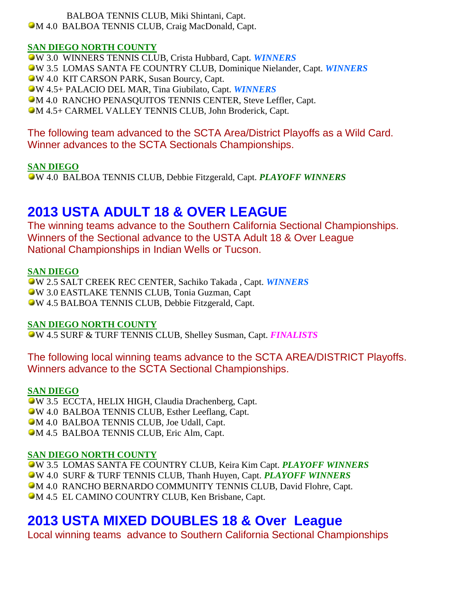BALBOA TENNIS CLUB, Miki Shintani, Capt. M 4.0 BALBOA TENNIS CLUB, Craig MacDonald, Capt.

## **SAN DIEGO NORTH COUNTY**

W 3.0 WINNERS TENNIS CLUB, Crista Hubbard, Capt*. WINNERS* W 3.5 LOMAS SANTA FE COUNTRY CLUB, Dominique Nielander, Capt. *WINNERS* W 4.0 KIT CARSON PARK, Susan Bourcy, Capt. W 4.5+ PALACIO DEL MAR, Tina Giubilato, Capt. *WINNERS* M 4.0 RANCHO PENASQUITOS TENNIS CENTER, Steve Leffler, Capt. M 4.5+ CARMEL VALLEY TENNIS CLUB, John Broderick, Capt.

## The following team advanced to the SCTA Area/District Playoffs as a Wild Card. Winner advances to the SCTA Sectionals Championships.

## **SAN DIEGO**

W 4.0 BALBOA TENNIS CLUB, Debbie Fitzgerald, Capt. *PLAYOFF WINNERS*

# **2013 USTA ADULT 18 & OVER LEAGUE**

The winning teams advance to the Southern California Sectional Championships. Winners of the Sectional advance to the USTA Adult 18 & Over League National Championships in Indian Wells or Tucson.

## **SAN DIEGO**

W 2.5 SALT CREEK REC CENTER, Sachiko Takada , Capt. *WINNERS* W 3.0 EASTLAKE TENNIS CLUB, Tonia Guzman, Capt W 4.5 BALBOA TENNIS CLUB, Debbie Fitzgerald, Capt.

## **SAN DIEGO NORTH COUNTY**

W 4.5 SURF & TURF TENNIS CLUB, Shelley Susman, Capt. *FINALISTS*

The following local winning teams advance to the SCTA AREA/DISTRICT Playoffs. Winners advance to the SCTA Sectional Championships.

## **SAN DIEGO**

W 3.5 ECCTA, HELIX HIGH, Claudia Drachenberg, Capt. W 4.0 BALBOA TENNIS CLUB, Esther Leeflang, Capt. M 4.0 BALBOA TENNIS CLUB, Joe Udall, Capt. M 4.5 BALBOA TENNIS CLUB, Eric Alm, Capt.

## **SAN DIEGO NORTH COUNTY**

W 3.5 LOMAS SANTA FE COUNTRY CLUB, Keira Kim Capt. *PLAYOFF WINNERS* W 4.0 SURF & TURF TENNIS CLUB, Thanh Huyen, Capt. *PLAYOFF WINNERS* M 4.0 RANCHO BERNARDO COMMUNITY TENNIS CLUB, David Flohre, Capt. M 4.5 EL CAMINO COUNTRY CLUB, Ken Brisbane, Capt.

# **2013 USTA MIXED DOUBLES 18 & Over League**

Local winning teams advance to Southern California Sectional Championships